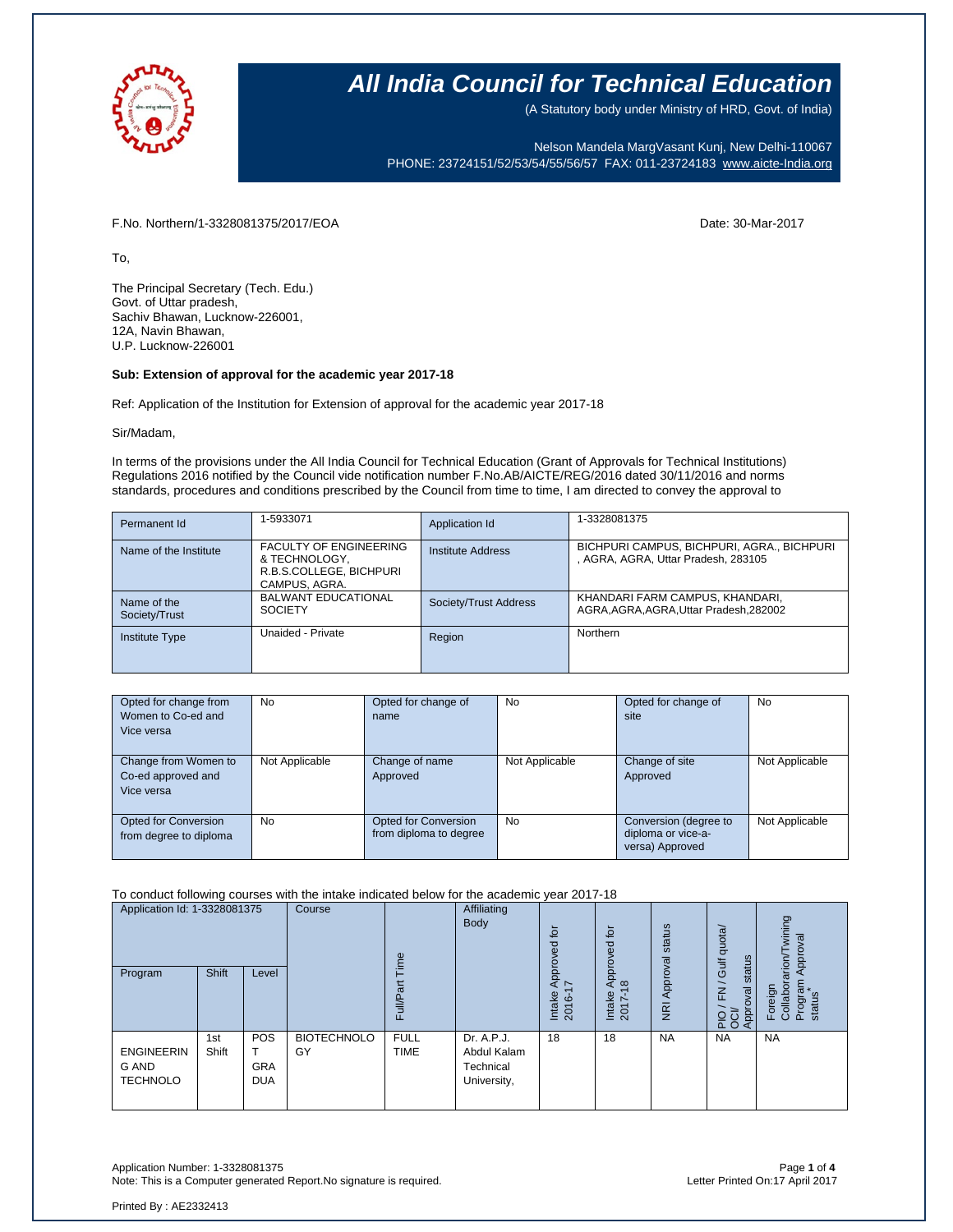

(A Statutory body under Ministry of HRD, Govt. of India)

Nelson Mandela MargVasant Kunj, New Delhi-110067 PHONE: 23724151/52/53/54/55/56/57 FAX: 011-23724183 [www.aicte-India.org](http://www.aicte-india.org/)

F.No. Northern/1-3328081375/2017/EOA Date: 30-Mar-2017

To,

The Principal Secretary (Tech. Edu.) Govt. of Uttar pradesh, Sachiv Bhawan, Lucknow-226001, 12A, Navin Bhawan, U.P. Lucknow-226001

#### **Sub: Extension of approval for the academic year 2017-18**

Ref: Application of the Institution for Extension of approval for the academic year 2017-18

#### Sir/Madam,

In terms of the provisions under the All India Council for Technical Education (Grant of Approvals for Technical Institutions) Regulations 2016 notified by the Council vide notification number F.No.AB/AICTE/REG/2016 dated 30/11/2016 and norms standards, procedures and conditions prescribed by the Council from time to time, I am directed to convey the approval to

| Permanent Id                 | 1-5933071                                                                                  | Application Id        | 1-3328081375                                                                      |
|------------------------------|--------------------------------------------------------------------------------------------|-----------------------|-----------------------------------------------------------------------------------|
| Name of the Institute        | <b>FACULTY OF ENGINEERING</b><br>& TECHNOLOGY,<br>R.B.S.COLLEGE, BICHPURI<br>CAMPUS, AGRA. | Institute Address     | BICHPURI CAMPUS, BICHPURI, AGRA., BICHPURI<br>, AGRA, AGRA, Uttar Pradesh, 283105 |
| Name of the<br>Society/Trust | <b>BALWANT EDUCATIONAL</b><br><b>SOCIETY</b>                                               | Society/Trust Address | KHANDARI FARM CAMPUS, KHANDARI,<br>AGRA.AGRA.AGRA.Uttar Pradesh.282002            |
| <b>Institute Type</b>        | Unaided - Private                                                                          | Region                | Northern                                                                          |

| Opted for change from<br>Women to Co-ed and<br>Vice versa | No             | Opted for change of<br>name                    | No             | Opted for change of<br>site                                    | <b>No</b>      |
|-----------------------------------------------------------|----------------|------------------------------------------------|----------------|----------------------------------------------------------------|----------------|
| Change from Women to<br>Co-ed approved and<br>Vice versa  | Not Applicable | Change of name<br>Approved                     | Not Applicable | Change of site<br>Approved                                     | Not Applicable |
| Opted for Conversion<br>from degree to diploma            | No             | Opted for Conversion<br>from diploma to degree | <b>No</b>      | Conversion (degree to<br>diploma or vice-a-<br>versa) Approved | Not Applicable |

To conduct following courses with the intake indicated below for the academic year 2017-18

| Application Id: 1-3328081375                  |              | Course                                 | Φ<br>Ĕ                   | Affiliating<br>Body        | ίō<br>ᄝ                                               | $\overline{5}$<br>Approved                 | status                       | Gulf quota/                | wining<br>Approval                 |                                                |
|-----------------------------------------------|--------------|----------------------------------------|--------------------------|----------------------------|-------------------------------------------------------|--------------------------------------------|------------------------------|----------------------------|------------------------------------|------------------------------------------------|
| Program                                       | Shift        | Level                                  |                          | Fu∥                        |                                                       | Appro <sup>.</sup><br>7<br>Intake<br>2016- | $\infty$<br>Intake<br>2017-1 | Approval<br>$\overline{g}$ | status<br>$\geq$<br>Approval<br>운항 | Foreign<br>Collaborarion/<br>Program<br>status |
| <b>ENGINEERIN</b><br>G AND<br><b>TECHNOLO</b> | 1st<br>Shift | <b>POS</b><br><b>GRA</b><br><b>DUA</b> | <b>BIOTECHNOLO</b><br>GY | <b>FULL</b><br><b>TIME</b> | Dr. A.P.J.<br>Abdul Kalam<br>Technical<br>University, | 18                                         | 18                           | <b>NA</b>                  | <b>NA</b>                          | <b>NA</b>                                      |

Application Number: 1-3328081375 Page **1** of **4** Note: This is a Computer generated Report.No signature is required.

Printed By : AE2332413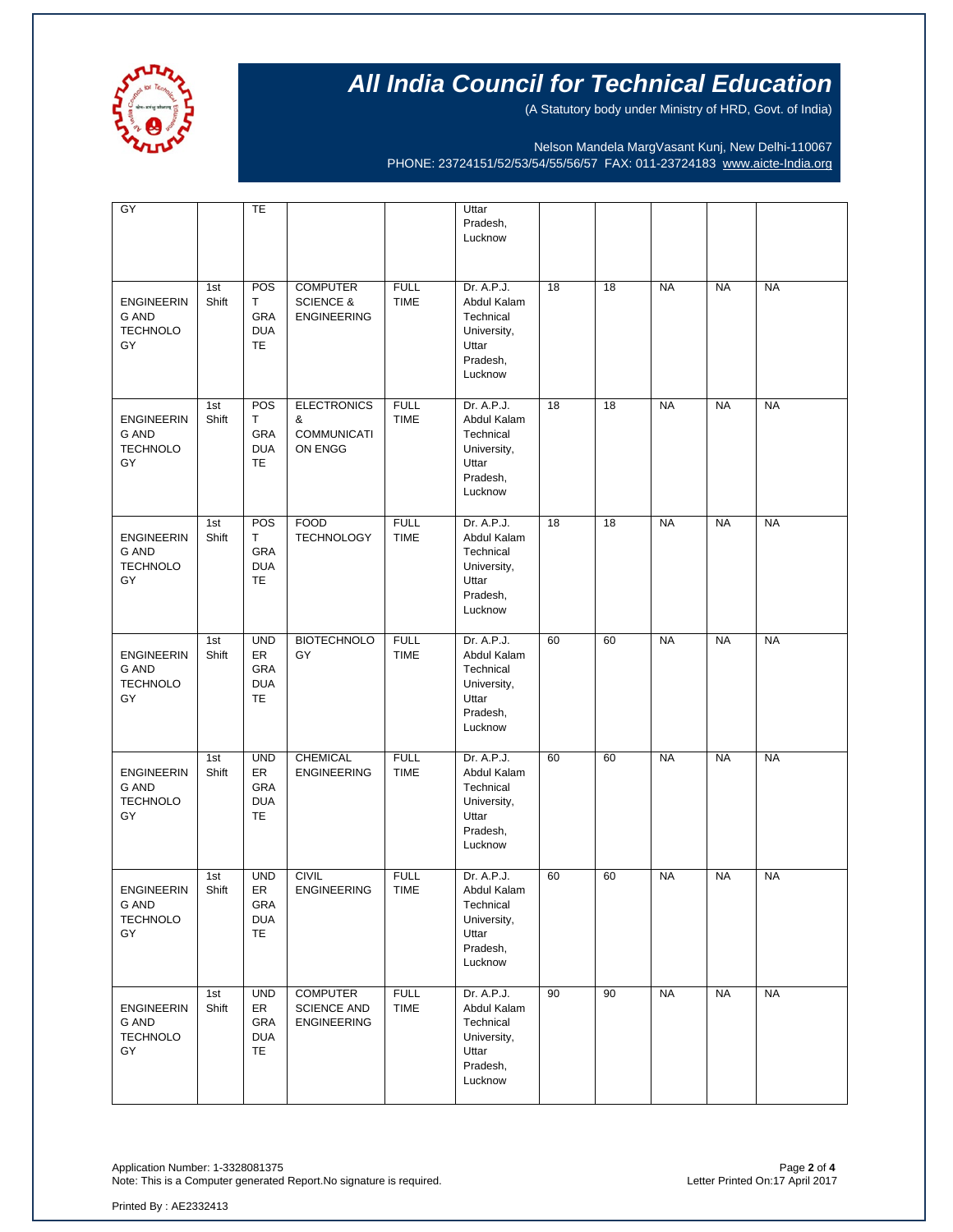

(A Statutory body under Ministry of HRD, Govt. of India)

Nelson Mandela MargVasant Kunj, New Delhi-110067 PHONE: 23724151/52/53/54/55/56/57 FAX: 011-23724183 [www.aicte-India.org](http://www.aicte-india.org/)

| $\overline{GY}$                                            |              | TE                                                        |                                                               |                            | Uttar<br>Pradesh,<br>Lucknow                                                          |    |    |           |           |           |
|------------------------------------------------------------|--------------|-----------------------------------------------------------|---------------------------------------------------------------|----------------------------|---------------------------------------------------------------------------------------|----|----|-----------|-----------|-----------|
| <b>ENGINEERIN</b><br><b>G AND</b><br><b>TECHNOLO</b><br>GY | 1st<br>Shift | POS<br>Т<br><b>GRA</b><br><b>DUA</b><br>TE                | <b>COMPUTER</b><br><b>SCIENCE &amp;</b><br><b>ENGINEERING</b> | <b>FULL</b><br><b>TIME</b> | Dr. A.P.J.<br>Abdul Kalam<br>Technical<br>University,<br>Uttar<br>Pradesh,<br>Lucknow | 18 | 18 | <b>NA</b> | <b>NA</b> | <b>NA</b> |
| <b>ENGINEERIN</b><br>G AND<br><b>TECHNOLO</b><br>GY        | 1st<br>Shift | POS<br>T<br>GRA<br><b>DUA</b><br><b>TE</b>                | <b>ELECTRONICS</b><br>&<br><b>COMMUNICATI</b><br>ON ENGG      | <b>FULL</b><br><b>TIME</b> | Dr. A.P.J.<br>Abdul Kalam<br>Technical<br>University,<br>Uttar<br>Pradesh,<br>Lucknow | 18 | 18 | <b>NA</b> | <b>NA</b> | <b>NA</b> |
| <b>ENGINEERIN</b><br>G AND<br><b>TECHNOLO</b><br>GY        | 1st<br>Shift | POS<br>Τ<br>GRA<br><b>DUA</b><br><b>TE</b>                | <b>FOOD</b><br><b>TECHNOLOGY</b>                              | <b>FULL</b><br><b>TIME</b> | Dr. A.P.J.<br>Abdul Kalam<br>Technical<br>University,<br>Uttar<br>Pradesh,<br>Lucknow | 18 | 18 | <b>NA</b> | <b>NA</b> | <b>NA</b> |
| <b>ENGINEERIN</b><br>G AND<br><b>TECHNOLO</b><br>GY        | 1st<br>Shift | <b>UND</b><br>ER<br>GRA<br><b>DUA</b><br>TE               | <b>BIOTECHNOLO</b><br>GY                                      | <b>FULL</b><br><b>TIME</b> | Dr. A.P.J.<br>Abdul Kalam<br>Technical<br>University,<br>Uttar<br>Pradesh,<br>Lucknow | 60 | 60 | <b>NA</b> | <b>NA</b> | <b>NA</b> |
| <b>ENGINEERIN</b><br>G AND<br><b>TECHNOLO</b><br>GY        | 1st<br>Shift | <b>UND</b><br>ER<br>GRA<br><b>DUA</b><br><b>TE</b>        | <b>CHEMICAL</b><br><b>ENGINEERING</b>                         | <b>FULL</b><br><b>TIME</b> | Dr. A.P.J.<br>Abdul Kalam<br>Technical<br>University,<br>Uttar<br>Pradesh,<br>Lucknow | 60 | 60 | <b>NA</b> | <b>NA</b> | <b>NA</b> |
| <b>ENGINEERIN</b><br>G AND<br><b>TECHNOLO</b><br>GY        | 1st<br>Shift | <b>UND</b><br>ER<br>GRA<br><b>DUA</b><br>TE.              | <b>CIVIL</b><br><b>ENGINEERING</b>                            | <b>FULL</b><br><b>TIME</b> | Dr. A.P.J.<br>Abdul Kalam<br>Technical<br>University,<br>Uttar<br>Pradesh,<br>Lucknow | 60 | 60 | <b>NA</b> | <b>NA</b> | <b>NA</b> |
| <b>ENGINEERIN</b><br>G AND<br><b>TECHNOLO</b><br>GY        | 1st<br>Shift | <b>UND</b><br>ER<br><b>GRA</b><br><b>DUA</b><br><b>TE</b> | <b>COMPUTER</b><br><b>SCIENCE AND</b><br><b>ENGINEERING</b>   | <b>FULL</b><br><b>TIME</b> | Dr. A.P.J.<br>Abdul Kalam<br>Technical<br>University,<br>Uttar<br>Pradesh,<br>Lucknow | 90 | 90 | <b>NA</b> | <b>NA</b> | <b>NA</b> |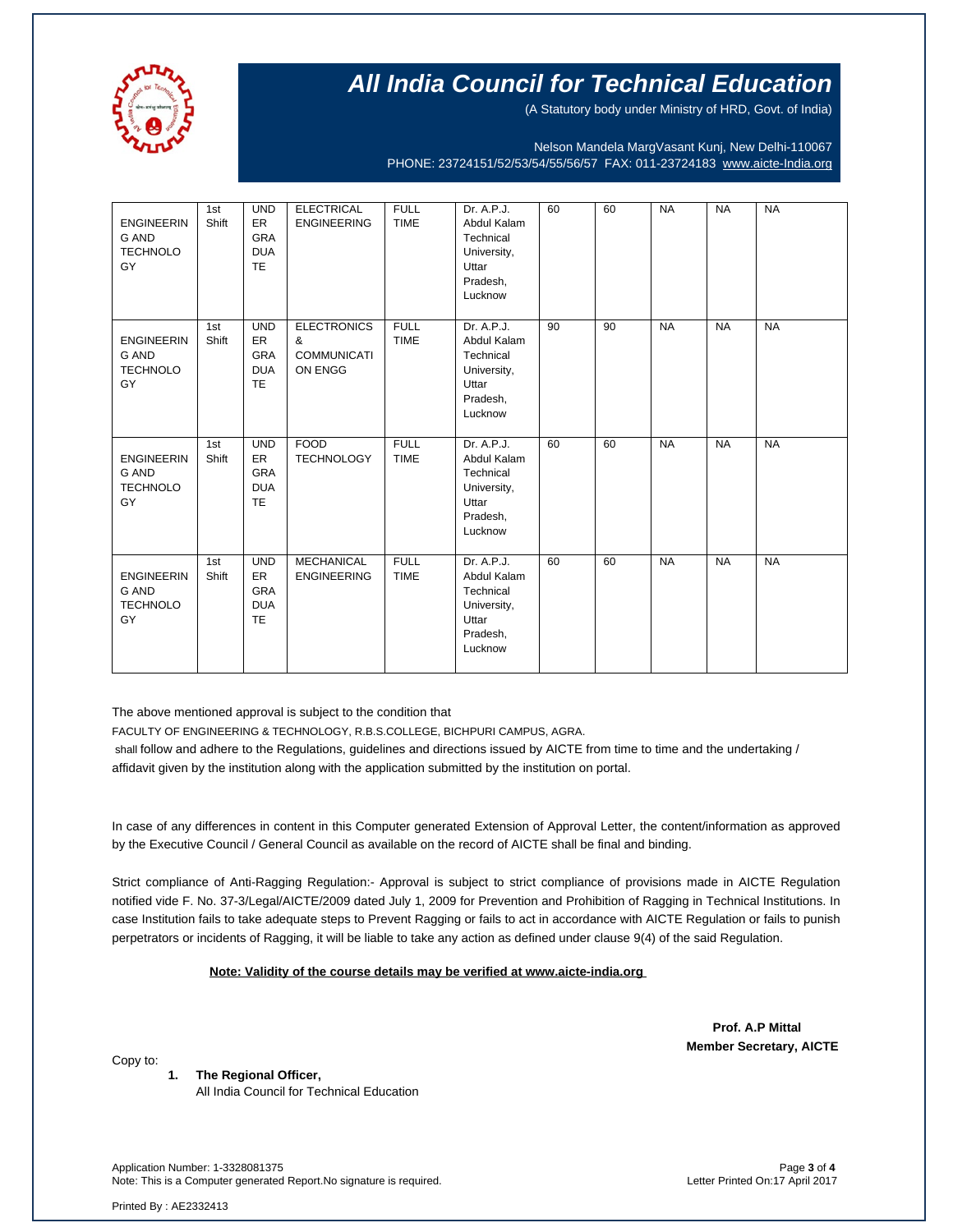

(A Statutory body under Ministry of HRD, Govt. of India)

Nelson Mandela MargVasant Kunj, New Delhi-110067 PHONE: 23724151/52/53/54/55/56/57 FAX: 011-23724183 [www.aicte-India.org](http://www.aicte-india.org/)

| <b>ENGINEERIN</b><br><b>G AND</b><br><b>TECHNOLO</b><br>GY | 1st<br>Shift | <b>UND</b><br>ER<br><b>GRA</b><br><b>DUA</b><br>TE         | <b>ELECTRICAL</b><br><b>ENGINEERING</b>                  | <b>FULL</b><br><b>TIME</b> | Dr. A.P.J.<br>Abdul Kalam<br>Technical<br>University,<br>Uttar<br>Pradesh,<br>Lucknow | 60 | 60 | <b>NA</b> | <b>NA</b> | <b>NA</b> |
|------------------------------------------------------------|--------------|------------------------------------------------------------|----------------------------------------------------------|----------------------------|---------------------------------------------------------------------------------------|----|----|-----------|-----------|-----------|
| <b>ENGINEERIN</b><br><b>G AND</b><br><b>TECHNOLO</b><br>GY | 1st<br>Shift | <b>UND</b><br>ER<br><b>GRA</b><br><b>DUA</b><br><b>TE</b>  | <b>ELECTRONICS</b><br>&<br><b>COMMUNICATI</b><br>ON ENGG | <b>FULL</b><br><b>TIME</b> | Dr. A.P.J.<br>Abdul Kalam<br>Technical<br>University,<br>Uttar<br>Pradesh,<br>Lucknow | 90 | 90 | <b>NA</b> | <b>NA</b> | <b>NA</b> |
| <b>ENGINEERIN</b><br><b>G AND</b><br><b>TECHNOLO</b><br>GY | 1st<br>Shift | <b>UND</b><br>ER<br><b>GRA</b><br><b>DUA</b><br><b>TE</b>  | <b>FOOD</b><br><b>TECHNOLOGY</b>                         | <b>FULL</b><br><b>TIME</b> | Dr. A.P.J.<br>Abdul Kalam<br>Technical<br>University,<br>Uttar<br>Pradesh,<br>Lucknow | 60 | 60 | <b>NA</b> | <b>NA</b> | <b>NA</b> |
| <b>ENGINEERIN</b><br><b>G AND</b><br><b>TECHNOLO</b><br>GY | 1st<br>Shift | <b>UND</b><br>ER.<br><b>GRA</b><br><b>DUA</b><br><b>TE</b> | <b>MECHANICAL</b><br><b>ENGINEERING</b>                  | <b>FULL</b><br><b>TIME</b> | Dr. A.P.J.<br>Abdul Kalam<br>Technical<br>University,<br>Uttar<br>Pradesh,<br>Lucknow | 60 | 60 | <b>NA</b> | <b>NA</b> | <b>NA</b> |

The above mentioned approval is subject to the condition that

FACULTY OF ENGINEERING & TECHNOLOGY, R.B.S.COLLEGE, BICHPURI CAMPUS, AGRA.

shall follow and adhere to the Regulations, guidelines and directions issued by AICTE from time to time and the undertaking / affidavit given by the institution along with the application submitted by the institution on portal.

In case of any differences in content in this Computer generated Extension of Approval Letter, the content/information as approved by the Executive Council / General Council as available on the record of AICTE shall be final and binding.

Strict compliance of Anti-Ragging Regulation:- Approval is subject to strict compliance of provisions made in AICTE Regulation notified vide F. No. 37-3/Legal/AICTE/2009 dated July 1, 2009 for Prevention and Prohibition of Ragging in Technical Institutions. In case Institution fails to take adequate steps to Prevent Ragging or fails to act in accordance with AICTE Regulation or fails to punish perpetrators or incidents of Ragging, it will be liable to take any action as defined under clause 9(4) of the said Regulation.

 **Note: Validity of the course details may be verified at www.aicte-india.org** 

 **Prof. A.P Mittal Member Secretary, AICTE**

Copy to:

**1. The Regional Officer,** All India Council for Technical Education

Application Number: 1-3328081375 Page **3** of **4** Note: This is a Computer generated Report.No signature is required.

Printed By : AE2332413